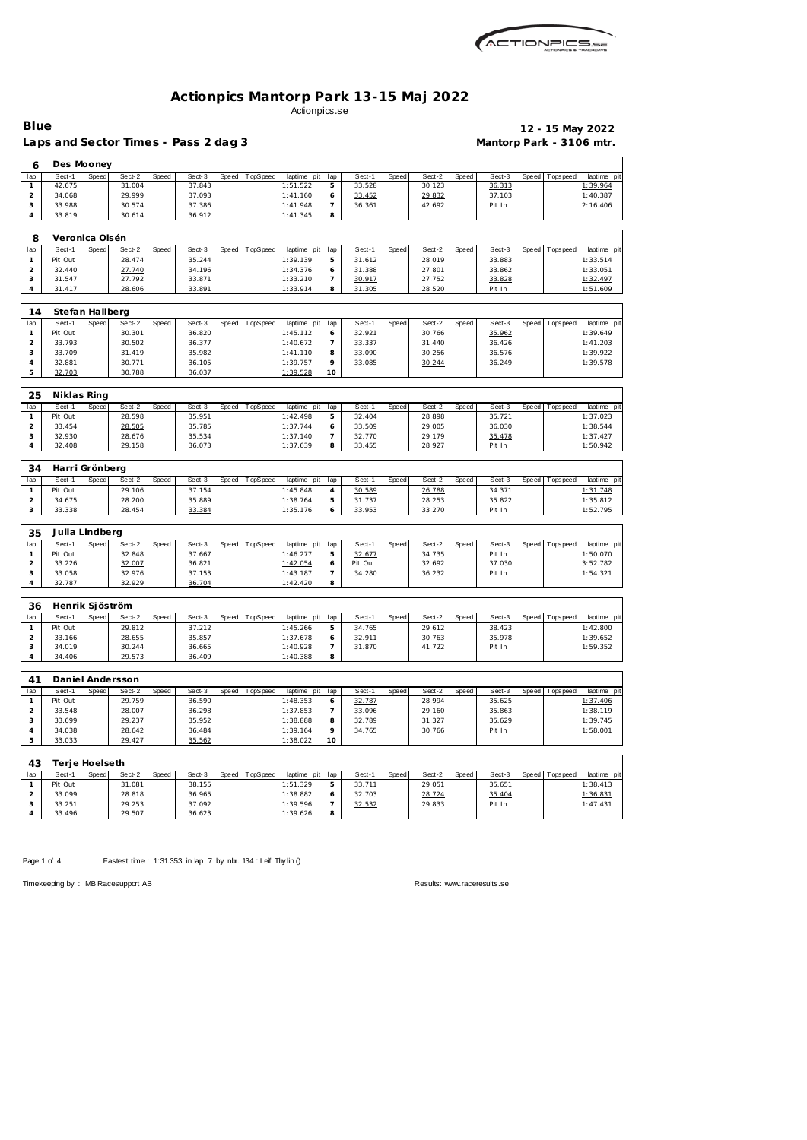| ACTIONPICS.sa |
|---------------|
|               |

Laps and Sector Times - Pass 2 dag 3 **Mantorp Park - 3106 mtr.** 

**Blue 12 - 15 May 2022**

| 6                              | Des Mooney        |       |                  |       |                  |       |          |                         |                     |                  |       |                  |       |                  |       |                 |                                                       |
|--------------------------------|-------------------|-------|------------------|-------|------------------|-------|----------|-------------------------|---------------------|------------------|-------|------------------|-------|------------------|-------|-----------------|-------------------------------------------------------|
| lap                            | Sect-1            | Speed | Sect-2           | Speed | Sect-3           | Speed | TopSpeed | laptime pit             | lap                 | Sect-1           | Speed | Sect-2           | Speed | Sect-3           | Speed | T ops pee d     | laptime pit                                           |
| $\mathbf{1}$                   | 42.675            |       | 31.004           |       | 37.843           |       |          | 1:51.522                | 5                   | 33.528           |       | 30.123           |       | 36.313           |       |                 | 1:39.964                                              |
| $\overline{a}$                 | 34.068            |       | 29.999           |       | 37.093           |       |          | 1:41.160                | 6                   | 33.452           |       | 29.832           |       | 37.103           |       |                 | 1:40.387                                              |
| 3                              | 33.988            |       | 30.574           |       | 37.386           |       |          | 1:41.948                | $\overline{7}$      | 36.361           |       | 42.692           |       | Pit In           |       |                 | 2:16.406                                              |
| 4                              | 33.819            |       | 30.614           |       | 36.912           |       |          | 1:41.345                | 8                   |                  |       |                  |       |                  |       |                 |                                                       |
| 8                              | Veronica Olsén    |       |                  |       |                  |       |          |                         |                     |                  |       |                  |       |                  |       |                 |                                                       |
| lap                            | Sect-1            | Speed | Sect-2           | Speed | Sect-3           | Speed | TopSpeed | laptime pit             | lap                 | Sect-1           | Speed | Sect-2           | Speed | Sect-3           | Speed | Tops peed       | laptime pit                                           |
| $\mathbf{1}$                   | Pit Out           |       | 28.474           |       | 35.244           |       |          | 1:39.139                | 5                   | 31.612           |       | 28.019           |       | 33.883           |       |                 | 1:33.514                                              |
| $\overline{2}$                 | 32.440            |       | 27.740           |       | 34.196           |       |          | 1:34.376                | 6                   | 31.388           |       | 27.801           |       | 33.862           |       |                 | 1:33.051                                              |
| 3                              | 31.547            |       | 27.792           |       | 33.871           |       |          | 1:33.210                | $\overline{7}$      | 30.917           |       | 27.752           |       | 33.828           |       |                 | 1:32.497                                              |
| 4                              | 31.417            |       | 28.606           |       | 33.891           |       |          | 1:33.914                | 8                   | 31.305           |       | 28.520           |       | Pit In           |       |                 | 1:51.609                                              |
|                                |                   |       |                  |       |                  |       |          |                         |                     |                  |       |                  |       |                  |       |                 |                                                       |
| 14                             | Stefan Hallberg   |       |                  |       |                  |       |          |                         |                     |                  |       |                  |       |                  |       |                 |                                                       |
| lap<br>$\mathbf{1}$            | Sect-1<br>Pit Out | Speed | Sect-2<br>30.301 | Speed | Sect-3<br>36.820 | Speed | TopSpeed | laptime pit<br>1:45.112 | lap<br>6            | Sect-1<br>32.921 | Speed | Sect-2<br>30.766 | Speed | Sect-3<br>35.962 | Speed | T ops pee d     | laptime pit<br>1:39.649                               |
| $\overline{c}$                 | 33.793            |       | 30.502           |       | 36.377           |       |          | 1:40.672                | 7                   | 33.337           |       | 31.440           |       | 36.426           |       |                 | 1:41.203                                              |
| 3                              | 33.709            |       | 31.419           |       | 35.982           |       |          | 1:41.110                | 8                   | 33.090           |       | 30.256           |       | 36.576           |       |                 | 1:39.922                                              |
| $\overline{4}$                 | 32.881            |       | 30.771           |       | 36.105           |       |          | 1:39.757                | 9                   | 33.085           |       | 30.244           |       | 36.249           |       |                 | 1:39.578                                              |
| 5                              | 32.703            |       | 30.788           |       | 36.037           |       |          | 1:39.528                | 10                  |                  |       |                  |       |                  |       |                 |                                                       |
|                                |                   |       |                  |       |                  |       |          |                         |                     |                  |       |                  |       |                  |       |                 |                                                       |
| 25                             | Niklas Ring       |       |                  |       |                  |       |          |                         |                     |                  |       |                  |       |                  |       |                 |                                                       |
| lap                            | Sect-1            | Speed | Sect-2           | Speed | Sect-3           | Speed | TopSpeed | laptime pit             | lap                 | Sect-1           | Speed | Sect-2           | Speed | Sect-3           | Speed | T ops pee d     | laptime pit                                           |
| $\mathbf{1}$<br>$\overline{c}$ | Pit Out<br>33.454 |       | 28.598           |       | 35.951<br>35.785 |       |          | 1:42.498<br>1:37.744    | 5                   | 32.404<br>33.509 |       | 28.898<br>29.005 |       | 35.721<br>36.030 |       |                 | 1:37.023                                              |
| 3                              | 32.930            |       | 28.505<br>28.676 |       | 35.534           |       |          | 1:37.140                | 6<br>$\overline{7}$ | 32.770           |       | 29.179           |       | 35.478           |       |                 | 1:38.544<br>1:37.427                                  |
| 4                              | 32.408            |       | 29.158           |       | 36.073           |       |          | 1:37.639                | 8                   | 33.455           |       | 28.927           |       | Pit In           |       |                 | 1:50.942                                              |
|                                |                   |       |                  |       |                  |       |          |                         |                     |                  |       |                  |       |                  |       |                 |                                                       |
| 34                             | Harri Grönberg    |       |                  |       |                  |       |          |                         |                     |                  |       |                  |       |                  |       |                 |                                                       |
| lap                            | Sect-1            | Speed | Sect-2           | Speed | Sect-3           | Speed | TopSpeed | laptime pit             | lap                 | Sect-1           | Speed | Sect-2           | Speed | Sect-3           | Speed | T ops pee d     | laptime pit                                           |
| $\mathbf{1}$                   | Pit Out           |       | 29.106           |       | 37.154           |       |          | 1:45.848                | 4                   | 30.589           |       | 26.788           |       | 34.371           |       |                 | 1:31.748                                              |
| $\overline{a}$                 | 34.675            |       | 28.200           |       | 35.889           |       |          | 1:38.764                | 5                   | 31.737           |       | 28.253           |       | 35.822           |       |                 | 1:35.812                                              |
| 3                              | 33.338            |       | 28.454           |       | 33.384           |       |          | 1:35.176                | 6                   | 33.953           |       | 33.270           |       | Pit In           |       |                 | 1:52.795                                              |
| 35                             | Julia Lindberg    |       |                  |       |                  |       |          |                         |                     |                  |       |                  |       |                  |       |                 |                                                       |
| lap                            | Sect-1            | Speed | Sect-2           | Speed | Sect-3           | Speed | TopSpeed | laptime pit             | lap                 | Sect-1           | Speed | Sect-2           | Speed | Sect-3           | Speed | Tops peed       | laptime pit                                           |
| $\mathbf{1}$                   | Pit Out           |       | 32.848           |       | 37.667           |       |          | 1:46.277                | 5                   | 32.677           |       | 34.735           |       | Pit In           |       |                 | 1:50.070                                              |
| $\overline{c}$                 | 33.226            |       | 32.007           |       | 36.821           |       |          | 1:42.054                | 6                   | Pit Out          |       | 32.692           |       | 37.030           |       |                 | 3:52.782                                              |
| 3                              | 33.058            |       | 32.976           |       | 37.153           |       |          | 1:43.187                | $\overline{7}$      | 34.280           |       | 36.232           |       | Pit In           |       |                 | 1:54.321                                              |
| 4                              | 32.787            |       | 32.929           |       | 36.704           |       |          | 1:42.420                | 8                   |                  |       |                  |       |                  |       |                 |                                                       |
| 36                             | Henrik Sjöström   |       |                  |       |                  |       |          |                         |                     |                  |       |                  |       |                  |       |                 |                                                       |
| lap                            | Sect-1            |       |                  |       |                  |       |          |                         |                     |                  |       |                  |       |                  |       |                 |                                                       |
|                                |                   |       |                  |       |                  |       |          |                         |                     |                  |       |                  |       |                  |       |                 |                                                       |
|                                |                   | Speed | Sect-2           | Speed | Sect-3           | Speed | TopSpeed | laptime pit             | lap                 | Sect-1           | Speed | Sect-2           | Speed | Sect-3           | Speed | Tops peed       |                                                       |
| $\mathbf{1}$                   | Pit Out           |       | 29.812           |       | 37.212           |       |          | 1:45.266                | 5                   | 34.765           |       | 29.612           |       | 38.423           |       |                 | 1:42.800                                              |
| $\overline{a}$                 | 33.166            |       | 28.655           |       | 35.857           |       |          | 1:37.678                | 6                   | 32.911           |       | 30.763           |       | 35.978           |       |                 | 1:39.652                                              |
| 3<br>4                         | 34.019<br>34.406  |       | 30.244<br>29.573 |       | 36.665<br>36.409 |       |          | 1:40.928<br>1:40.388    | 7<br>8              | 31.870           |       | 41.722           |       | Pit In           |       |                 | 1:59.352                                              |
|                                |                   |       |                  |       |                  |       |          |                         |                     |                  |       |                  |       |                  |       |                 |                                                       |
| 41                             |                   |       | Daniel Andersson |       |                  |       |          |                         |                     |                  |       |                  |       |                  |       |                 |                                                       |
| lap                            | Sect-1            | Speed | Sect-2           | Speed | Sect-3           | Speed | TopSpeed | laptime pit             | lap                 | Sect-1           | Speed | Sect-2           | Speed | Sect-3           |       | Speed Topspeed  |                                                       |
| $\mathbf{1}$                   | Pit Out           |       | 29.759           |       | 36.590           |       |          | 1:48.353                | 6                   | 32.787           |       | 28.994           |       | 35.625           |       |                 | 1:37.406                                              |
| $\overline{2}$                 | 33.548            |       | 28.007           |       | 36.298           |       |          | 1:37.853                | 7                   | 33.096           |       | 29.160           |       | 35.863           |       |                 | 1:38.119                                              |
| 3                              | 33.699            |       | 29.237           |       | 35.952           |       |          | 1:38.888                | 8                   | 32.789           |       | 31.327           |       | 35.629           |       |                 | 1:39.745                                              |
| 4<br>5                         | 34.038<br>33.033  |       | 28.642<br>29.427 |       | 36.484<br>35.562 |       |          | 1:39.164<br>1:38.022    | 9<br>10             | 34.765           |       | 30.766           |       | Pit In           |       |                 | 1:58.001                                              |
|                                |                   |       |                  |       |                  |       |          |                         |                     |                  |       |                  |       |                  |       |                 |                                                       |
| 43                             | Terje Hoelseth    |       |                  |       |                  |       |          |                         |                     |                  |       |                  |       |                  |       |                 |                                                       |
| lap                            | Sect-1            | Speed | Sect-2           | Speed | Sect-3           | Speed | TopSpeed | laptime pit lap         |                     | Sect-1           | Speed | Sect-2           | Speed | Sect-3           |       | Speed Tops peed |                                                       |
| $\mathbf{1}$                   | Pit Out           |       | 31.081           |       | 38.155           |       |          | 1:51.329                | 5                   | 33.711           |       | 29.051           |       | 35.651           |       |                 | laptime pit<br>laptime pit<br>laptime pit<br>1:38.413 |
| $\overline{a}$<br>3            | 33.099<br>33.251  |       | 28.818<br>29.253 |       | 36.965<br>37.092 |       |          | 1:38.882<br>1:39.596    | 6<br>$\overline{7}$ | 32.703<br>32.532 |       | 28.724<br>29.833 |       | 35.404<br>Pit In |       |                 | 1:36.831<br>1:47.431                                  |
| 4                              | 33.496            |       | 29.507           |       | 36.623           |       |          | 1:39.626                | 8                   |                  |       |                  |       |                  |       |                 |                                                       |

Page 1 of 4 Fastest time : 1:31.353 in lap 7 by nbr. 134 : Leif Thy lin ()

Timekeeping by : MB Racesupport AB Results:<www.raceresults.se>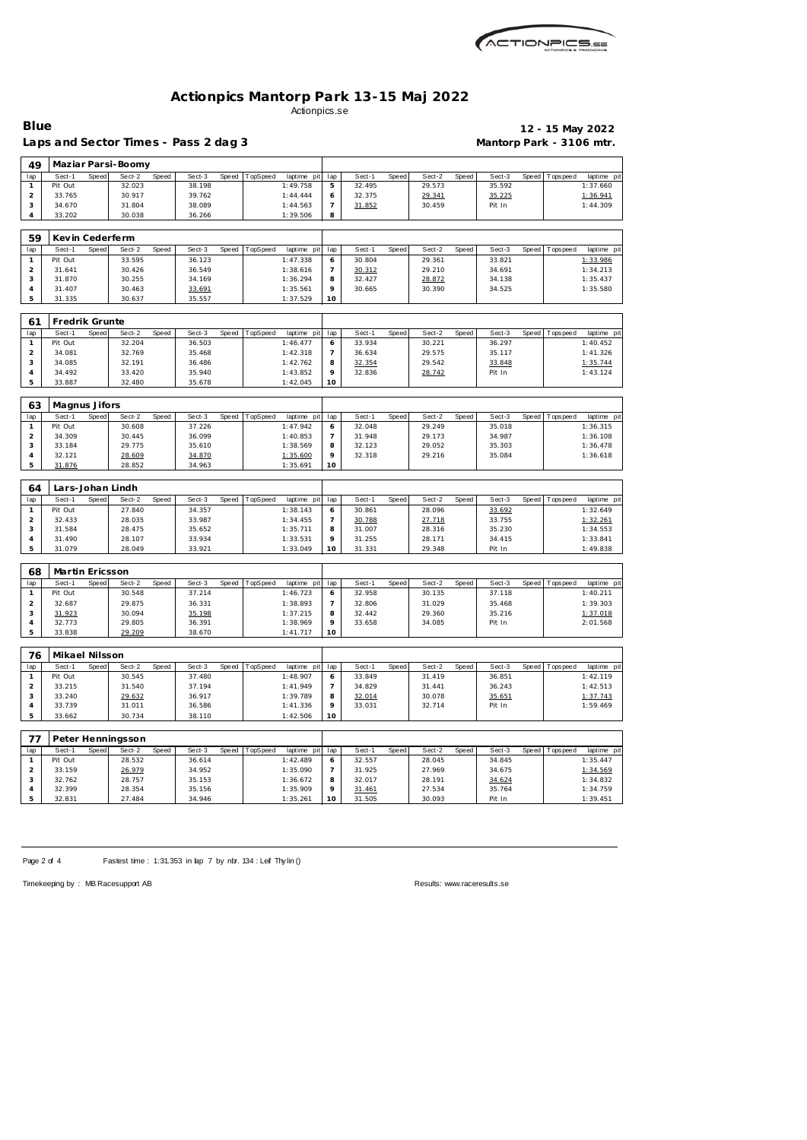

Laps and Sector Times - Pass 2 dag 3 **Mantorp Park - 3106 mtr.** 

 **Maziar Parsi-Boomy**

# **Blue 12 - 15 May 2022**

| lap                 | Sect-1            | Speed | Sect-2           | Speed | Sect-3           | Speed | TopSpeed | laptime pit             | lap            | Sect-1           | <b>Speed</b> | Sect-2           | Speed | Sect-3           |       | Speed Topspeed | laptime pi             |
|---------------------|-------------------|-------|------------------|-------|------------------|-------|----------|-------------------------|----------------|------------------|--------------|------------------|-------|------------------|-------|----------------|------------------------|
| $\mathbf{1}$        | Pit Out           |       | 32.023           |       | 38.198           |       |          | 1:49.758                | 5              | 32.495           |              | 29.573           |       | 35.592           |       |                | 1:37.660               |
| $\overline{c}$      | 33.765            |       | 30.917           |       | 39.762           |       |          | 1:44.444                | 6              | 32.375           |              | 29.341           |       | 35.225           |       |                | 1:36.941               |
| 3                   | 34.670            |       | 31.804           |       | 38.089           |       |          | 1:44.563                | $\overline{7}$ | 31.852           |              | 30.459           |       | Pit In           |       |                | 1:44.309               |
| $\overline{4}$      | 33.202            |       | 30.038           |       | 36.266           |       |          | 1:39.506                | 8              |                  |              |                  |       |                  |       |                |                        |
|                     |                   |       |                  |       |                  |       |          |                         |                |                  |              |                  |       |                  |       |                |                        |
| 59                  | Kevin Cederferm   |       |                  |       |                  |       |          |                         |                |                  |              |                  |       |                  |       |                |                        |
|                     |                   |       |                  |       |                  |       |          |                         |                |                  |              |                  |       |                  |       |                |                        |
| lap                 | Sect-1            | Speed | Sect-2           | Speed | Sect-3           | Speed | TopSpeed | laptime pit             | lap            | Sect-1           | Speed        | Sect-2           | Speed | Sect-3           | Speed | T ops pee d    | laptime pi             |
| $\mathbf{1}$        | Pit Out           |       | 33.595           |       | 36.123           |       |          | 1:47.338                | 6              | 30.804           |              | 29.361           |       | 33.821           |       |                | 1:33.986               |
| $\overline{a}$      | 31.641            |       | 30.426           |       | 36.549           |       |          | 1:38.616                | $\overline{7}$ | 30.312           |              | 29.210           |       | 34.691           |       |                | 1:34.213               |
| 3                   | 31.870            |       | 30.255           |       | 34.169           |       |          | 1:36.294                | 8              | 32.427           |              | 28.872           |       | 34.138           |       |                | 1:35.437               |
| $\sqrt{4}$          | 31.407            |       | 30.463           |       | 33.691           |       |          | 1:35.561                | 9              | 30.665           |              | 30.390           |       | 34.525           |       |                | 1:35.580               |
| 5                   | 31.335            |       | 30.637           |       | 35.557           |       |          | 1:37.529                | 10             |                  |              |                  |       |                  |       |                |                        |
|                     |                   |       |                  |       |                  |       |          |                         |                |                  |              |                  |       |                  |       |                |                        |
| 61                  | Fredrik Grunte    |       |                  |       |                  |       |          |                         |                |                  |              |                  |       |                  |       |                |                        |
| lap                 | Sect-1            | Speed | Sect-2           | Speed | Sect-3           | Speed | TopSpeed | laptime pit             | lap            | Sect-1           | <b>Speed</b> | Sect-2           | Speed | Sect-3           | Speed | Tops pee d     | laptime pi             |
| $\mathbf{1}$        | Pit Out           |       | 32.204           |       | 36.503           |       |          | 1:46.477                | 6              | 33.934           |              | 30.221           |       | 36.297           |       |                | 1:40.452               |
| $\overline{a}$      | 34.081            |       | 32.769           |       | 35.468           |       |          | 1:42.318                | $\overline{7}$ | 36.634           |              | 29.575           |       | 35.117           |       |                | 1: 41.326              |
| 3                   | 34.085            |       | 32.191           |       | 36.486           |       |          | 1:42.762                | 8              | 32.354           |              | 29.542           |       | 33.848           |       |                | 1:35.744               |
| $\sqrt{4}$          | 34.492            |       | 33.420           |       | 35.940           |       |          | 1:43.852                | 9              | 32.836           |              | 28.742           |       | Pit In           |       |                | 1:43.124               |
| 5                   | 33.887            |       | 32.480           |       | 35.678           |       |          | 1:42.045                | 10             |                  |              |                  |       |                  |       |                |                        |
|                     |                   |       |                  |       |                  |       |          |                         |                |                  |              |                  |       |                  |       |                |                        |
| 63                  | Magnus Jifors     |       |                  |       |                  |       |          |                         |                |                  |              |                  |       |                  |       |                |                        |
|                     |                   |       |                  |       |                  | Speed |          |                         |                |                  |              |                  |       |                  |       |                |                        |
| lap<br>$\mathbf{1}$ | Sect-1<br>Pit Out | Speed | Sect-2<br>30.608 | Speed | Sect-3<br>37.226 |       | TopSpeed | laptime pit<br>1:47.942 | lap            | Sect-1<br>32.048 | Speed        | Sect-2<br>29.249 | Speed | Sect-3<br>35.018 | Speed | Tops peed      | laptime pi<br>1:36.315 |
|                     |                   |       |                  |       |                  |       |          |                         | 6              |                  |              |                  |       |                  |       |                |                        |
| $\overline{a}$<br>3 | 34.309<br>33.184  |       | 30.445<br>29.775 |       | 36.099           |       |          | 1:40.853                | $\overline{7}$ | 31.948<br>32.123 |              | 29.173<br>29.052 |       | 34.987           |       |                | 1:36.108               |
|                     |                   |       |                  |       | 35.610           |       |          | 1:38.569                | 8<br>9         | 32.318           |              |                  |       | 35.303           |       |                | 1:36.478               |
| $\overline{4}$<br>5 | 32.121            |       | 28.609           |       | 34.870           |       |          | 1:35.600                | 10             |                  |              | 29.216           |       | 35.084           |       |                | 1:36.618               |
|                     | 31.876            |       | 28.852           |       | 34.963           |       |          | 1:35.691                |                |                  |              |                  |       |                  |       |                |                        |
|                     |                   |       |                  |       |                  |       |          |                         |                |                  |              |                  |       |                  |       |                |                        |
|                     |                   |       |                  |       |                  |       |          |                         |                |                  |              |                  |       |                  |       |                |                        |
| 64                  | Lars-Johan Lindh  |       |                  |       |                  |       |          |                         |                |                  |              |                  |       |                  |       |                |                        |
| lap                 | Sect-1            | Speed | Sect-2           | Speed | Sect-3           | Speed | TopSpeed | laptime pit             | lap            | Sect-1           | Speed        | Sect-2           | Speed | Sect-3           | Speed | Tops peed      | laptime pit            |
| $\mathbf{1}$        | Pit Out           |       | 27.840           |       | 34.357           |       |          | 1:38.143                | 6              | 30.861           |              | 28.096           |       | 33.692           |       |                | 1:32.649               |
| $\overline{a}$      | 32.433            |       | 28.035           |       | 33.987           |       |          | 1:34.455                | $\overline{7}$ | 30.788           |              | 27.718           |       | 33.755           |       |                | 1:32.261               |
| 3                   | 31.584            |       | 28.475           |       | 35.652           |       |          | 1:35.711                | 8              | 31.007           |              | 28.316           |       | 35.230           |       |                | 1:34.553               |
| $\sqrt{4}$          | 31.490            |       | 28.107           |       | 33.934           |       |          | 1:33.531                | 9              | 31.255           |              | 28.171           |       | 34.415           |       |                | 1:33.841               |
| 5                   | 31.079            |       | 28.049           |       | 33.921           |       |          | 1:33.049                | 10             | 31.331           |              | 29.348           |       | Pit In           |       |                | 1:49.838               |
|                     |                   |       |                  |       |                  |       |          |                         |                |                  |              |                  |       |                  |       |                |                        |
| 68                  | Martin Ericsson   |       |                  |       |                  |       |          |                         |                |                  |              |                  |       |                  |       |                |                        |
| lap                 | Sect-1            | Speed | Sect-2           | Speed | Sect-3           | Speed | TopSpeed | laptime pit             | lap            | Sect-1           | Speed        | $Sect-2$         | Speed | Sect-3           | Speed | Tops peed      | laptime pi             |
| 1                   | Pit Out           |       | 30.548           |       | 37.214           |       |          | 1:46.723                | 6              | 32.958           |              | 30.135           |       | 37.118           |       |                | 1:40.211               |
| $\overline{c}$      | 32.687            |       | 29.875           |       | 36.331           |       |          | 1:38.893                | $\overline{7}$ | 32.806           |              | 31.029           |       | 35.468           |       |                | 1:39.303               |
| 3                   |                   |       | 30.094           |       |                  |       |          | 1:37.215                | 8              | 32.442           |              | 29.360           |       | 35.216           |       |                |                        |
|                     | 31.923            |       |                  |       | 35.198           |       |          |                         | $\circ$        |                  |              |                  |       |                  |       |                | 1:37.018               |
| $\sqrt{4}$<br>5     | 32.773<br>33.838  |       | 29.805           |       | 36.391<br>38.670 |       |          | 1:38.969<br>1:41.717    | 10             | 33.658           |              | 34.085           |       | Pit In           |       |                | 2:01.568               |
|                     |                   |       | 29.209           |       |                  |       |          |                         |                |                  |              |                  |       |                  |       |                |                        |
|                     |                   |       |                  |       |                  |       |          |                         |                |                  |              |                  |       |                  |       |                |                        |
| 76                  | Mikael Nilsson    |       |                  |       |                  |       |          |                         |                |                  |              |                  |       |                  |       |                |                        |
| lap                 | Sect-1            | Speed | Sect-2           | Speed | Sect-3           | Speed | TopSpeed | laptime pit             | lap            | Sect-1           | Speed        | Sect-2           | Speed | Sect-3           | Speed | Tops peed      | laptime pit            |
| $\mathbf{1}$        | Pit Out           |       | 30.545           |       | 37.480           |       |          | 1:48.907                | 6              | 33.849           |              | 31.419           |       | 36.851           |       |                | 1:42.119               |
| $\overline{c}$      | 33.215            |       | 31.540           |       | 37.194           |       |          | 1:41.949                | $\overline{7}$ | 34.829           |              | 31.441           |       | 36.243           |       |                | 1:42.513               |
| 3                   | 33.240            |       | 29.632           |       | 36.917           |       |          | 1:39.789                | 8              | 32.014           |              | 30.078           |       | 35.651           |       |                | 1:37.743               |
| $\sqrt{4}$          | 33.739            |       | 31.011           |       | 36.586           |       |          | 1:41.336                | $\circ$        | 33.031           |              | 32.714           |       | Pit In           |       |                | 1:59.469               |
| 5                   | 33.662            |       | 30.734           |       | 38.110           |       |          | 1:42.506                | 10             |                  |              |                  |       |                  |       |                |                        |
| $\rightarrow$       | $\sim$ $\sim$     |       |                  |       |                  |       |          |                         |                |                  |              |                  |       |                  |       |                |                        |

|     |         |       | Peter Henningsson |       |        |       |          |                 |     |        |       |        |       |        |         |           |             |
|-----|---------|-------|-------------------|-------|--------|-------|----------|-----------------|-----|--------|-------|--------|-------|--------|---------|-----------|-------------|
| lap | Sect-1  | Speed | Sect-2            | Speed | Sect-3 | Speed | TopSpeed | laptime<br>pitl | lap | Sect-1 | Speed | Sect-2 | Speed | Sect-3 | Speed I | Tops peed | laptime pit |
|     | Pit Out |       | 28.532            |       | 36.614 |       |          | 1:42.489        |     | 32.557 |       | 28.045 |       | 34.845 |         |           | 1:35.447    |
|     | 33.159  |       | 26.979            |       | 34.952 |       |          | 1:35.090        |     | 31.925 |       | 27.969 |       | 34.675 |         |           | 1:34.569    |
|     | 32.762  |       | 28.757            |       | 35.153 |       |          | 1:36.672        | я   | 32.017 |       | 28.191 |       | 34.624 |         |           | 1:34.832    |
|     | 32.399  |       | 28.354            |       | 35.156 |       |          | 1:35.909        |     | 31.461 |       | 27.534 |       | 35.764 |         |           | 1:34.759    |
|     | 32.831  |       | 27.484            |       | 34.946 |       |          | 1:35.261        | 10  | 31.505 |       | 30.093 |       | Pit In |         |           | 1:39.451    |

Page 2 of 4 Fastest time : 1:31.353 in lap 7 by nbr. 134 : Leif Thy lin ()

Timekeeping by : MB Racesupport AB Results:<www.raceresults.se>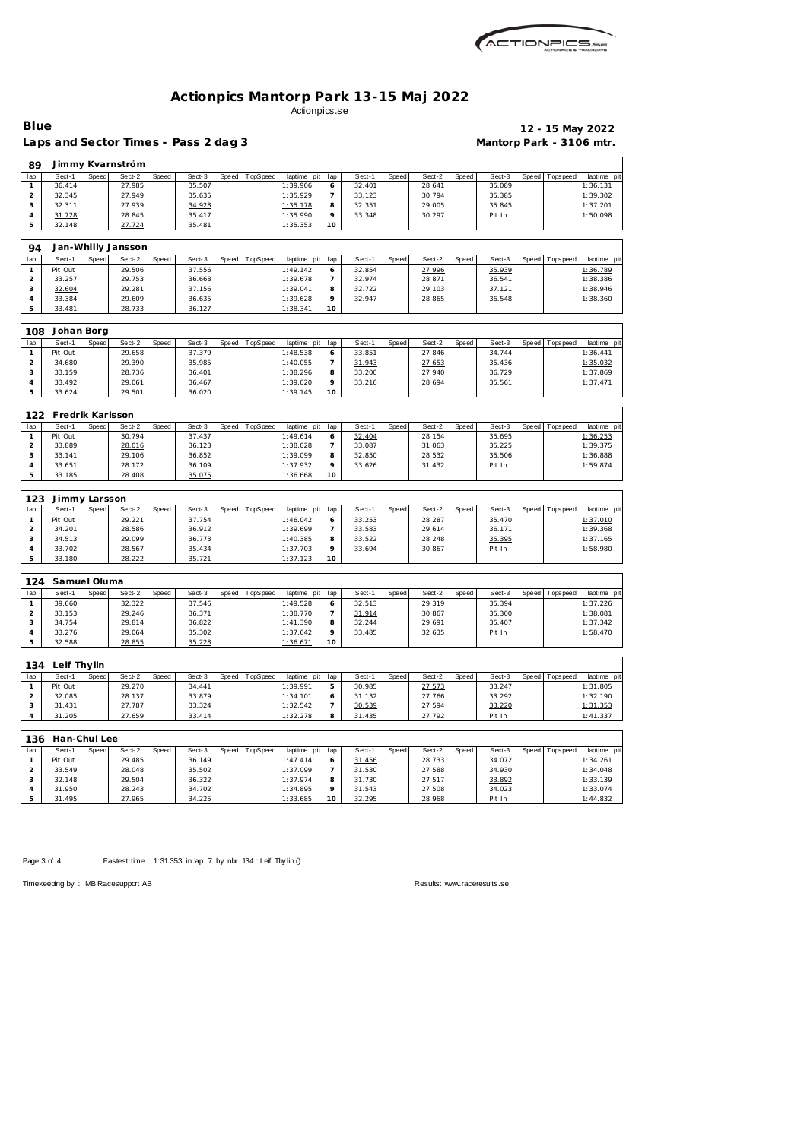

| Laps and Sector Times - Pass 2 dag 3 | Mantorp Park - 3106 mtr. |
|--------------------------------------|--------------------------|

## **Blue 12 - 15 May 2022**

| 89                  |                   |              | Jimmy Kvarnström   |       |                  |       |          |                      |                     |                  |       |                  |       |                  |       |                 |                        |
|---------------------|-------------------|--------------|--------------------|-------|------------------|-------|----------|----------------------|---------------------|------------------|-------|------------------|-------|------------------|-------|-----------------|------------------------|
| lap                 | Sect-1            | Speed        | Sect-2             | Speed | Sect-3           | Speed | TopSpeed | laptime pit          | lap                 | Sect-1           | Speed | Sect-2           | Speed | Sect-3           | Speed | Tops peed       | laptime pi             |
| $\mathbf{1}$        | 36.414            |              | 27.985             |       | 35.507           |       |          | 1:39.906             | 6                   | 32.401           |       | 28.641           |       | 35.089           |       |                 | 1:36.131               |
| $\overline{c}$      | 32.345            |              | 27.949             |       | 35.635           |       |          | 1:35.929             | $\overline{7}$      | 33.123           |       | 30.794           |       | 35.385           |       |                 | 1:39.302               |
| 3                   | 32.311            |              | 27.939             |       | 34.928           |       |          | 1:35.178             | 8                   | 32.351           |       | 29.005           |       | 35.845           |       |                 | 1:37.201               |
| $\sqrt{4}$          | 31.728            |              | 28.845             |       | 35.417           |       |          | 1:35.990             | 9                   | 33.348           |       | 30.297           |       | Pit In           |       |                 | 1:50.098               |
| 5                   | 32.148            |              | 27.724             |       | 35.481           |       |          | 1:35.353             | 10                  |                  |       |                  |       |                  |       |                 |                        |
|                     |                   |              |                    |       |                  |       |          |                      |                     |                  |       |                  |       |                  |       |                 |                        |
| 94                  |                   |              | Jan-Whilly Jansson |       |                  |       |          |                      |                     |                  |       |                  |       |                  |       |                 |                        |
| lap                 | Sect-1            | Speed        | Sect-2             | Speed | Sect-3           | Speed | TopSpeed | laptime pit          | lap                 | Sect-1           | Speed | Sect-2           | Speed | Sect-3           | Speed | T ops pee d     | laptime pi             |
| $\mathbf{1}$        | Pit Out           |              | 29.506             |       | 37.556           |       |          | 1:49.142             | 6                   | 32.854           |       | 27.996           |       | 35.939           |       |                 | 1:36.789               |
| $\overline{c}$      | 33.257            |              | 29.753             |       | 36.668           |       |          | 1:39.678             | $\overline{7}$      | 32.974           |       | 28.871           |       | 36.541           |       |                 | 1:38.386               |
| 3                   | 32.604            |              | 29.281             |       | 37.156           |       |          | 1:39.041             | 8                   | 32.722           |       | 29.103           |       | 37.121           |       |                 | 1:38.946               |
| $\sqrt{4}$          | 33.384            |              | 29.609             |       | 36.635           |       |          | 1:39.628             | 9                   | 32.947           |       | 28.865           |       | 36.548           |       |                 | 1:38.360               |
| 5                   | 33.481            |              | 28.733             |       | 36.127           |       |          | 1:38.341             | 10                  |                  |       |                  |       |                  |       |                 |                        |
|                     |                   |              |                    |       |                  |       |          |                      |                     |                  |       |                  |       |                  |       |                 |                        |
| 108                 | Johan Borg        |              |                    |       |                  |       |          |                      |                     |                  |       |                  |       |                  |       |                 |                        |
| lap                 | Sect-1            | Speed        | Sect-2             | Speed | Sect-3           | Speed | TopSpeed | laptime pit          | lap                 | Sect-1           | Speed | Sect-2           | Speed | Sect-3           | Speed | T ops pee d     | laptime pi             |
| $\mathbf{1}$        | Pit Out           |              | 29.658             |       | 37.379           |       |          | 1:48.538             | 6                   | 33.851           |       | 27.846           |       | 34.744           |       |                 | 1:36.441               |
| $\overline{c}$<br>3 | 34.680<br>33.159  |              | 29.390<br>28.736   |       | 35.985<br>36.401 |       |          | 1:40.055<br>1:38.296 | $\overline{7}$<br>8 | 31.943<br>33.200 |       | 27.653<br>27.940 |       | 35.436<br>36.729 |       |                 | 1:35.032<br>1:37.869   |
| $\overline{4}$      | 33.492            |              | 29.061             |       | 36.467           |       |          | 1:39.020             | 9                   | 33.216           |       | 28.694           |       | 35.561           |       |                 | 1:37.471               |
| 5                   | 33.624            |              | 29.501             |       | 36.020           |       |          | 1:39.145             | 10                  |                  |       |                  |       |                  |       |                 |                        |
|                     |                   |              |                    |       |                  |       |          |                      |                     |                  |       |                  |       |                  |       |                 |                        |
| 122                 | Fredrik Karlsson  |              |                    |       |                  |       |          |                      |                     |                  |       |                  |       |                  |       |                 |                        |
| lap                 | Sect-1            | Speed        | Sect-2             | Speed | Sect-3           | Speed | TopSpeed | laptime pit          | lap                 | Sect-1           | Speed | Sect-2           | Speed | Sect-3           | Speed | Tops peed       | laptime pi             |
| $\mathbf{1}$        | Pit Out           |              | 30.794             |       | 37.437           |       |          | 1:49.614             | 6                   | 32.404           |       | 28.154           |       | 35.695           |       |                 | 1:36.253               |
| $\sqrt{2}$          | 33.889            |              | 28.016             |       | 36.123           |       |          | 1:38.028             | $\overline{7}$      | 33.087           |       | 31.063           |       | 35.225           |       |                 | 1:39.375               |
| 3                   | 33.141            |              | 29.106             |       | 36.852           |       |          | 1:39.099             | 8                   | 32.850           |       | 28.532           |       | 35.506           |       |                 | 1:36.888               |
| $\sqrt{4}$          | 33.651            |              | 28.172             |       | 36.109           |       |          | 1:37.932             | 9                   | 33.626           |       | 31.432           |       | Pit In           |       |                 | 1:59.874               |
| 5                   | 33.185            |              | 28.408             |       | 35.075           |       |          | 1:36.668             | 10                  |                  |       |                  |       |                  |       |                 |                        |
|                     |                   |              |                    |       |                  |       |          |                      |                     |                  |       |                  |       |                  |       |                 |                        |
| 123                 | Jimmy Larsson     |              |                    |       |                  |       |          |                      |                     |                  |       |                  |       |                  |       |                 |                        |
| lap<br>$\mathbf{1}$ | Sect-1            | <b>Speed</b> | Sect-2<br>29.221   | Speed | Sect-3<br>37.754 | Speed | TopSpeed | laptime pit          | lap                 | Sect-1<br>33.253 | Speed | Sect-2<br>28.287 | Speed | Sect-3           | Speed | T ops pee d     | laptime pi<br>1:37.010 |
| $\mathbf 2$         | Pit Out<br>34.201 |              | 28.586             |       | 36.912           |       |          | 1:46.042<br>1:39.699 | 6<br>$\overline{7}$ | 33.583           |       | 29.614           |       | 35.470<br>36.171 |       |                 | 1:39.368               |
| 3                   | 34.513            |              | 29.099             |       | 36.773           |       |          | 1:40.385             | 8                   | 33.522           |       | 28.248           |       | 35.395           |       |                 | 1:37.165               |
| $\overline{4}$      | 33.702            |              | 28.567             |       | 35.434           |       |          | 1:37.703             | 9                   | 33.694           |       | 30.867           |       | Pit In           |       |                 | 1:58.980               |
| 5                   | 33.180            |              | 28.222             |       | 35.721           |       |          | 1:37.123             | 10                  |                  |       |                  |       |                  |       |                 |                        |
|                     |                   |              |                    |       |                  |       |          |                      |                     |                  |       |                  |       |                  |       |                 |                        |
| 124                 | Samuel Oluma      |              |                    |       |                  |       |          |                      |                     |                  |       |                  |       |                  |       |                 |                        |
| lap                 | Sect-1            | Speed        | Sect-2             | Speed | Sect-3           | Speed | TopSpeed | laptime pit          | lap                 | Sect-1           | Speed | Sect-2           | Speed | Sect-3           | Speed | Tops peed       | laptime pi             |
| $\mathbf{1}$        | 39.660            |              | 32.322             |       | 37.546           |       |          | 1:49.528             | 6                   | 32.513           |       | 29.319           |       | 35.394           |       |                 | 1:37.226               |
| $\overline{a}$      | 33.153            |              | 29.246             |       | 36.371           |       |          | 1:38.770             | $\overline{7}$      | 31.914           |       | 30.867           |       | 35.300           |       |                 | 1:38.081               |
| 3                   | 34.754            |              | 29.814             |       | 36.822           |       |          | 1:41.390             | 8                   | 32.244           |       | 29.691           |       | 35.407           |       |                 | 1:37.342               |
| $\overline{4}$      | 33.276            |              | 29.064             |       | 35.302           |       |          | 1:37.642             | 9                   | 33.485           |       | 32.635           |       | Pit In           |       |                 | 1:58.470               |
| 5                   | 32.588            |              | 28.855             |       | 35.228           |       |          | 1:36.671             | 10                  |                  |       |                  |       |                  |       |                 |                        |
|                     |                   |              |                    |       |                  |       |          |                      |                     |                  |       |                  |       |                  |       |                 |                        |
| 134                 | Leif Thylin       |              |                    |       |                  |       |          |                      |                     |                  |       |                  |       |                  |       |                 |                        |
| lap                 | Sect-1            | Speed        | Sect-2             | Speed | Sect-3           | Speed | TopSpeed | laptime pit          | lap                 | Sect-1           | Speed | Sect-2           | Speed | Sect-3           | Speed | <b>Topspeed</b> | laptime pit            |
| $\mathbf{1}$        | Pit Out           |              | 29.270             |       | 34.441           |       |          | 1:39.991             | 5                   | 30.985           |       | 27.573           |       | 33.247           |       |                 | 1:31.805               |
| $\overline{a}$      | 32.085            |              | 28.137             |       | 33.879           |       |          | 1:34.101             | 6                   | 31.132           |       | 27.766           |       | 33.292           |       |                 | 1:32.190               |
| 3                   | 31.431            |              | 27.787             |       | 33.324           |       |          | 1:32.542             | $\overline{7}$      | 30.539           |       | 27.594           |       | 33.220           |       |                 | 1:31.353               |
| $\overline{4}$      | 31.205            |              | 27.659             |       | 33.414           |       |          | 1:32.278             | 8                   | 31.435           |       | 27.792           |       | Pit In           |       |                 | 1:41.337               |
| 136                 | Han-Chul Lee      |              |                    |       |                  |       |          |                      |                     |                  |       |                  |       |                  |       |                 |                        |
| lap                 | Sect-1            | Speed        | Sect-2             | Speed | Sect-3           | Speed | TopSpeed | laptime pit          | lap                 | Sect-1           | Speed | Sect-2           | Speed | Sect-3           | Speed | <b>Topspeed</b> | laptime pi             |
| $\mathbf{1}$        | Pit Out           |              | 29.485             |       | 36.149           |       |          | 1:47.414             | 6                   | 31.456           |       | 28.733           |       | 34.072           |       |                 | 1:34.261               |
| $\overline{a}$      | 33.549            |              | 28.048             |       | 35.502           |       |          | 1:37.099             | $\overline{7}$      | 31.530           |       | 27.588           |       | 34.930           |       |                 | 1:34.048               |
| 3                   | 32.148            |              | 29.504             |       | 36.322           |       |          | 1:37.974             | 8                   | 31.730           |       | 27.517           |       | 33.892           |       |                 | 1:33.139               |
| $\overline{4}$      | 31.950            |              | 28.243             |       | 34.702           |       |          | 1:34.895             | 9                   | 31.543           |       | 27.508           |       | 34.023           |       |                 | 1:33.074               |

Page 3 of 4 Fastest time : 1:31.353 in lap 7 by nbr. 134 : Leif Thy lin ()

31.495 27.965 34.225 1:33.685

Timekeeping by : MB Racesupport AB Results:<www.raceresults.se>

 31.543 <u>27.508</u> 34.023 1:33.074 32.295 28.968 Pit In 1:44.832